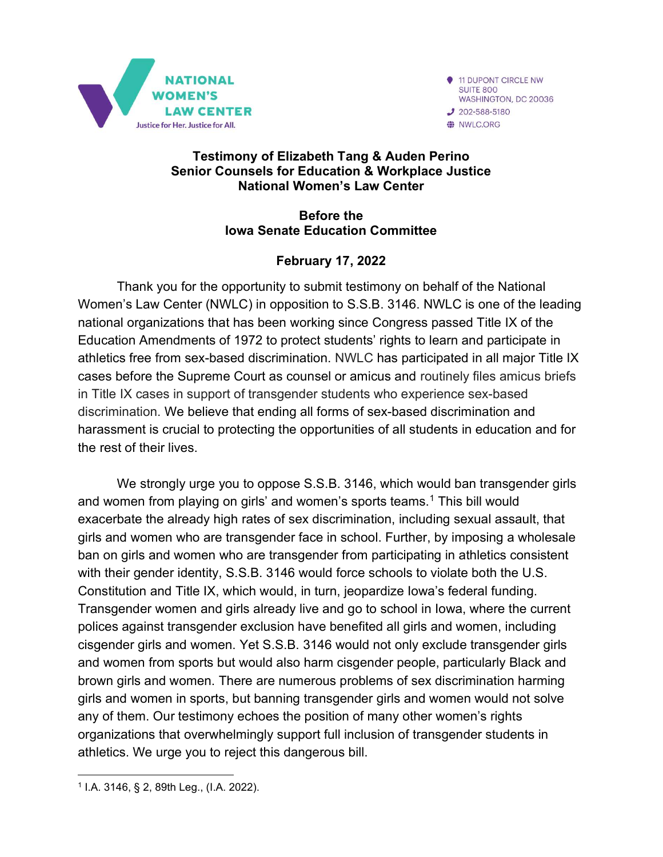

11 DUPONT CIRCLE NW SUITE 800 WASHINGTON, DC 20036  $J$  202-588-5180 WLC.ORG

#### Testimony of Elizabeth Tang & Auden Perino Senior Counsels for Education & Workplace Justice National Women's Law Center

#### Before the Iowa Senate Education Committee

## February 17, 2022

Thank you for the opportunity to submit testimony on behalf of the National Women's Law Center (NWLC) in opposition to S.S.B. 3146. NWLC is one of the leading national organizations that has been working since Congress passed Title IX of the Education Amendments of 1972 to protect students' rights to learn and participate in athletics free from sex-based discrimination. NWLC has participated in all major Title IX cases before the Supreme Court as counsel or amicus and routinely files amicus briefs in Title IX cases in support of transgender students who experience sex-based discrimination. We believe that ending all forms of sex-based discrimination and harassment is crucial to protecting the opportunities of all students in education and for the rest of their lives.

We strongly urge you to oppose S.S.B. 3146, which would ban transgender girls and women from playing on girls' and women's sports teams.<sup>1</sup> This bill would exacerbate the already high rates of sex discrimination, including sexual assault, that girls and women who are transgender face in school. Further, by imposing a wholesale ban on girls and women who are transgender from participating in athletics consistent with their gender identity, S.S.B. 3146 would force schools to violate both the U.S. Constitution and Title IX, which would, in turn, jeopardize Iowa's federal funding. Transgender women and girls already live and go to school in Iowa, where the current polices against transgender exclusion have benefited all girls and women, including cisgender girls and women. Yet S.S.B. 3146 would not only exclude transgender girls and women from sports but would also harm cisgender people, particularly Black and brown girls and women. There are numerous problems of sex discrimination harming girls and women in sports, but banning transgender girls and women would not solve any of them. Our testimony echoes the position of many other women's rights organizations that overwhelmingly support full inclusion of transgender students in athletics. We urge you to reject this dangerous bill.

<sup>1</sup> I.A. 3146, § 2, 89th Leg., (I.A. 2022).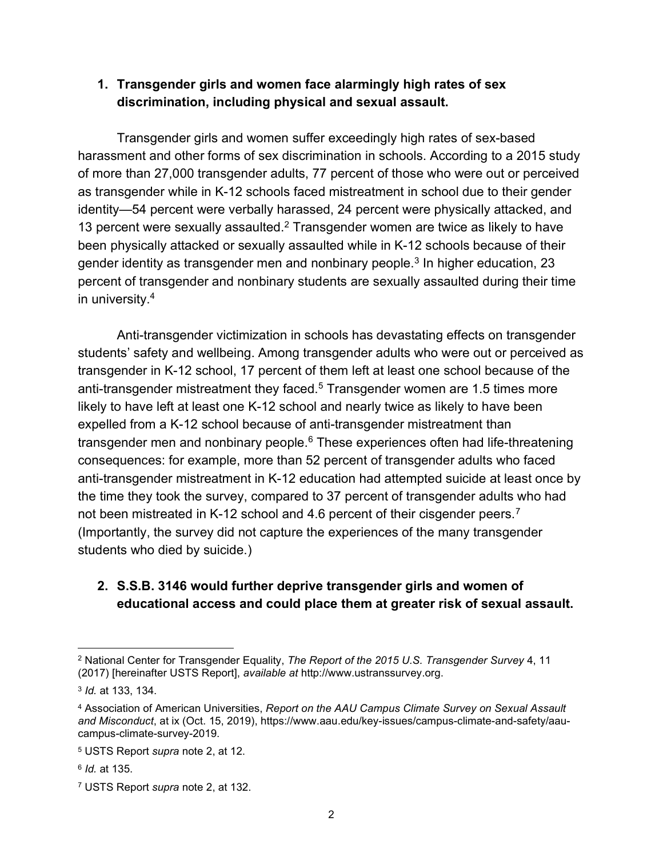#### 1. Transgender girls and women face alarmingly high rates of sex discrimination, including physical and sexual assault.

 Transgender girls and women suffer exceedingly high rates of sex-based harassment and other forms of sex discrimination in schools. According to a 2015 study of more than 27,000 transgender adults, 77 percent of those who were out or perceived as transgender while in K-12 schools faced mistreatment in school due to their gender identity—54 percent were verbally harassed, 24 percent were physically attacked, and 13 percent were sexually assaulted. $2$  Transgender women are twice as likely to have been physically attacked or sexually assaulted while in K-12 schools because of their gender identity as transgender men and nonbinary people.<sup>3</sup> In higher education, 23 percent of transgender and nonbinary students are sexually assaulted during their time in university.<sup>4</sup>

Anti-transgender victimization in schools has devastating effects on transgender students' safety and wellbeing. Among transgender adults who were out or perceived as transgender in K-12 school, 17 percent of them left at least one school because of the anti-transgender mistreatment they faced. $^5$  Transgender women are 1.5 times more likely to have left at least one K-12 school and nearly twice as likely to have been expelled from a K-12 school because of anti-transgender mistreatment than transgender men and nonbinary people.<sup>6</sup> These experiences often had life-threatening consequences: for example, more than 52 percent of transgender adults who faced anti-transgender mistreatment in K-12 education had attempted suicide at least once by the time they took the survey, compared to 37 percent of transgender adults who had not been mistreated in K-12 school and 4.6 percent of their cisgender peers.<sup>7</sup> (Importantly, the survey did not capture the experiences of the many transgender students who died by suicide.)

## 2. S.S.B. 3146 would further deprive transgender girls and women of educational access and could place them at greater risk of sexual assault.

 $^2$  National Center for Transgender Equality, *The Report of the 2015 U.S. Transgender Survey* 4, 11 (2017) [hereinafter USTS Report], available at http://www.ustranssurvey.org.

<sup>3</sup> Id. at 133, 134.

<sup>&</sup>lt;sup>4</sup> Association of American Universities, Report on the AAU Campus Climate Survey on Sexual Assault and Misconduct, at ix (Oct. 15, 2019), https://www.aau.edu/key-issues/campus-climate-and-safety/aaucampus-climate-survey-2019.

<sup>&</sup>lt;sup>5</sup> USTS Report *supra* note 2, at 12.

<sup>&</sup>lt;sup>6</sup> *Id.* at 135.

<sup>&</sup>lt;sup>7</sup> USTS Report *supra* note 2, at 132.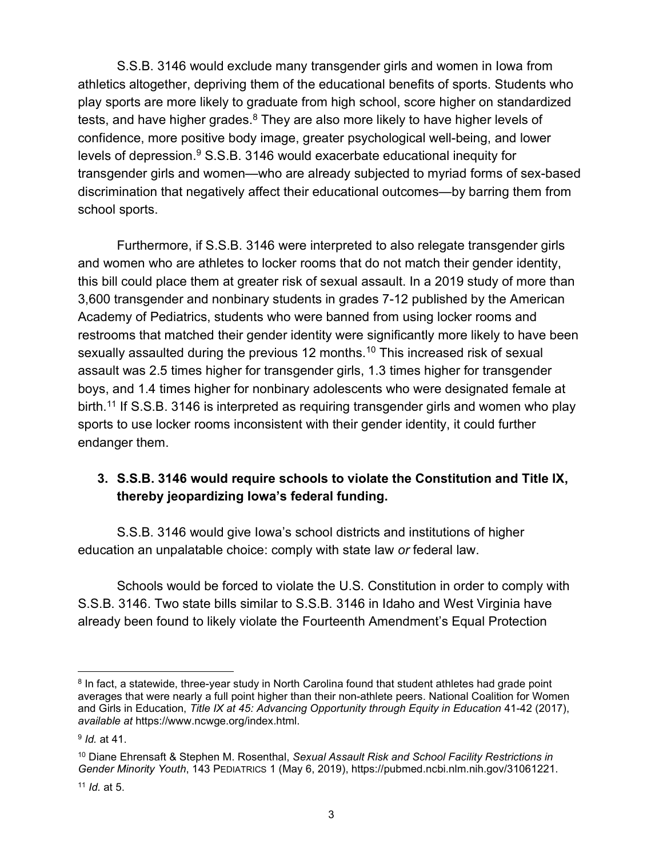S.S.B. 3146 would exclude many transgender girls and women in Iowa from athletics altogether, depriving them of the educational benefits of sports. Students who play sports are more likely to graduate from high school, score higher on standardized tests, and have higher grades. $^8$  They are also more likely to have higher levels of confidence, more positive body image, greater psychological well-being, and lower levels of depression. $9$  S.S.B. 3146 would exacerbate educational inequity for transgender girls and women—who are already subjected to myriad forms of sex-based discrimination that negatively affect their educational outcomes—by barring them from school sports.

Furthermore, if S.S.B. 3146 were interpreted to also relegate transgender girls and women who are athletes to locker rooms that do not match their gender identity, this bill could place them at greater risk of sexual assault. In a 2019 study of more than 3,600 transgender and nonbinary students in grades 7-12 published by the American Academy of Pediatrics, students who were banned from using locker rooms and restrooms that matched their gender identity were significantly more likely to have been sexually assaulted during the previous 12 months.<sup>10</sup> This increased risk of sexual assault was 2.5 times higher for transgender girls, 1.3 times higher for transgender boys, and 1.4 times higher for nonbinary adolescents who were designated female at birth.<sup>11</sup> If S.S.B. 3146 is interpreted as requiring transgender girls and women who play sports to use locker rooms inconsistent with their gender identity, it could further endanger them.

## 3. S.S.B. 3146 would require schools to violate the Constitution and Title IX, thereby jeopardizing Iowa's federal funding.

S.S.B. 3146 would give Iowa's school districts and institutions of higher education an unpalatable choice: comply with state law or federal law.

Schools would be forced to violate the U.S. Constitution in order to comply with S.S.B. 3146. Two state bills similar to S.S.B. 3146 in Idaho and West Virginia have already been found to likely violate the Fourteenth Amendment's Equal Protection

 $8$  In fact, a statewide, three-year study in North Carolina found that student athletes had grade point averages that were nearly a full point higher than their non-athlete peers. National Coalition for Women and Girls in Education, Title IX at 45: Advancing Opportunity through Equity in Education 41-42 (2017), available at https://www.ncwge.org/index.html.

<sup>&</sup>lt;sup>9</sup> *Id.* at 41.

<sup>&</sup>lt;sup>10</sup> Diane Ehrensaft & Stephen M. Rosenthal, Sexual Assault Risk and School Facility Restrictions in Gender Minority Youth, 143 PEDIATRICS 1 (May 6, 2019), https://pubmed.ncbi.nlm.nih.gov/31061221.

 $11$  *Id.* at 5.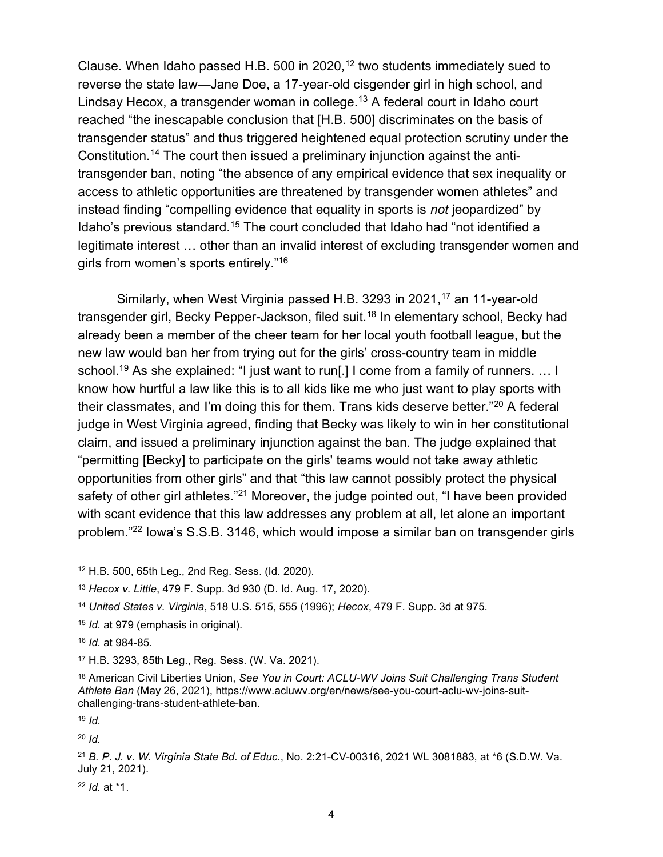Clause. When Idaho passed H.B. 500 in 2020,<sup>12</sup> two students immediately sued to reverse the state law—Jane Doe, a 17-year-old cisgender girl in high school, and Lindsay Hecox, a transgender woman in college.<sup>13</sup> A federal court in Idaho court reached "the inescapable conclusion that [H.B. 500] discriminates on the basis of transgender status" and thus triggered heightened equal protection scrutiny under the Constitution.14 The court then issued a preliminary injunction against the antitransgender ban, noting "the absence of any empirical evidence that sex inequality or access to athletic opportunities are threatened by transgender women athletes" and instead finding "compelling evidence that equality in sports is not jeopardized" by Idaho's previous standard.<sup>15</sup> The court concluded that Idaho had "not identified a legitimate interest … other than an invalid interest of excluding transgender women and girls from women's sports entirely."<sup>16</sup>

Similarly, when West Virginia passed H.B. 3293 in 2021,<sup>17</sup> an 11-year-old transgender girl, Becky Pepper-Jackson, filed suit.<sup>18</sup> In elementary school, Becky had already been a member of the cheer team for her local youth football league, but the new law would ban her from trying out for the girls' cross-country team in middle school.<sup>19</sup> As she explained: "I just want to run[.] I come from a family of runners. ... I know how hurtful a law like this is to all kids like me who just want to play sports with their classmates, and I'm doing this for them. Trans kids deserve better."<sup>20</sup> A federal judge in West Virginia agreed, finding that Becky was likely to win in her constitutional claim, and issued a preliminary injunction against the ban. The judge explained that "permitting [Becky] to participate on the girls' teams would not take away athletic opportunities from other girls" and that "this law cannot possibly protect the physical safety of other girl athletes."<sup>21</sup> Moreover, the judge pointed out, "I have been provided with scant evidence that this law addresses any problem at all, let alone an important problem."<sup>22</sup> Iowa's S.S.B. 3146, which would impose a similar ban on transgender girls

 $19$  Id.

 $20$  *Id.* 

 $22$  *Id.* at  $*1$ .

<sup>12</sup> H.B. 500, 65th Leg., 2nd Reg. Sess. (Id. 2020).

<sup>13</sup> Hecox v. Little, 479 F. Supp. 3d 930 (D. Id. Aug. 17, 2020).

<sup>14</sup> United States v. Virginia, 518 U.S. 515, 555 (1996); Hecox, 479 F. Supp. 3d at 975.

<sup>&</sup>lt;sup>15</sup> *Id.* at 979 (emphasis in original).

<sup>16</sup> Id. at 984-85.

<sup>17</sup> H.B. 3293, 85th Leg., Reg. Sess. (W. Va. 2021).

<sup>&</sup>lt;sup>18</sup> American Civil Liberties Union, See You in Court: ACLU-WV Joins Suit Challenging Trans Student Athlete Ban (May 26, 2021), https://www.acluwv.org/en/news/see-you-court-aclu-wv-joins-suitchallenging-trans-student-athlete-ban.

<sup>21</sup> B. P. J. v. W. Virginia State Bd. of Educ., No. 2:21-CV-00316, 2021 WL 3081883, at \*6 (S.D.W. Va. July 21, 2021).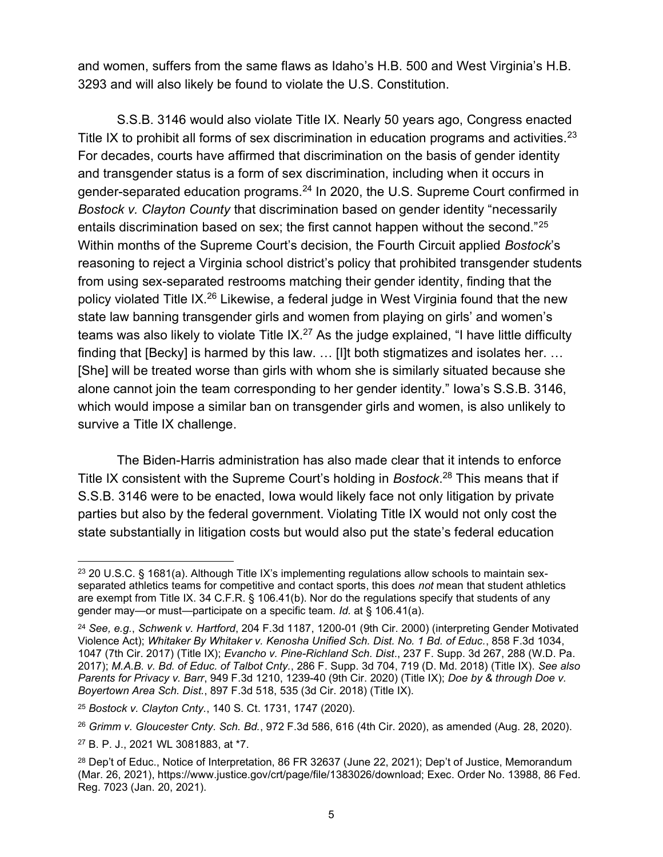and women, suffers from the same flaws as Idaho's H.B. 500 and West Virginia's H.B. 3293 and will also likely be found to violate the U.S. Constitution.

S.S.B. 3146 would also violate Title IX. Nearly 50 years ago, Congress enacted Title IX to prohibit all forms of sex discrimination in education programs and activities.<sup>23</sup> For decades, courts have affirmed that discrimination on the basis of gender identity and transgender status is a form of sex discrimination, including when it occurs in gender-separated education programs.<sup>24</sup> In 2020, the U.S. Supreme Court confirmed in Bostock v. Clayton County that discrimination based on gender identity "necessarily entails discrimination based on sex; the first cannot happen without the second."<sup>25</sup> Within months of the Supreme Court's decision, the Fourth Circuit applied Bostock's reasoning to reject a Virginia school district's policy that prohibited transgender students from using sex-separated restrooms matching their gender identity, finding that the policy violated Title IX.<sup>26</sup> Likewise, a federal judge in West Virginia found that the new state law banning transgender girls and women from playing on girls' and women's teams was also likely to violate Title  $IX^{27}$  As the judge explained, "I have little difficulty finding that [Becky] is harmed by this law. … [I]t both stigmatizes and isolates her. … [She] will be treated worse than girls with whom she is similarly situated because she alone cannot join the team corresponding to her gender identity." Iowa's S.S.B. 3146, which would impose a similar ban on transgender girls and women, is also unlikely to survive a Title IX challenge.

The Biden-Harris administration has also made clear that it intends to enforce Title IX consistent with the Supreme Court's holding in Bostock.<sup>28</sup> This means that if S.S.B. 3146 were to be enacted, Iowa would likely face not only litigation by private parties but also by the federal government. Violating Title IX would not only cost the state substantially in litigation costs but would also put the state's federal education

 $23$  20 U.S.C. § 1681(a). Although Title IX's implementing regulations allow schools to maintain sexseparated athletics teams for competitive and contact sports, this does not mean that student athletics are exempt from Title IX. 34 C.F.R. § 106.41(b). Nor do the regulations specify that students of any gender may—or must—participate on a specific team. Id. at § 106.41(a).

 $24$  See, e.g., Schwenk v. Hartford, 204 F.3d 1187, 1200-01 (9th Cir. 2000) (interpreting Gender Motivated Violence Act); Whitaker By Whitaker v. Kenosha Unified Sch. Dist. No. 1 Bd. of Educ., 858 F.3d 1034, 1047 (7th Cir. 2017) (Title IX); Evancho v. Pine-Richland Sch. Dist., 237 F. Supp. 3d 267, 288 (W.D. Pa. 2017); M.A.B. v. Bd. of Educ. of Talbot Cnty., 286 F. Supp. 3d 704, 719 (D. Md. 2018) (Title IX). See also Parents for Privacy v. Barr, 949 F.3d 1210, 1239-40 (9th Cir. 2020) (Title IX); Doe by & through Doe v. Boyertown Area Sch. Dist., 897 F.3d 518, 535 (3d Cir. 2018) (Title IX).

<sup>25</sup> Bostock v. Clayton Cnty., 140 S. Ct. 1731, 1747 (2020).

<sup>26</sup> Grimm v. Gloucester Cnty. Sch. Bd., 972 F.3d 586, 616 (4th Cir. 2020), as amended (Aug. 28, 2020).

<sup>27</sup> B. P. J., 2021 WL 3081883, at \*7.

<sup>28</sup> Dep't of Educ., Notice of Interpretation, 86 FR 32637 (June 22, 2021); Dep't of Justice, Memorandum (Mar. 26, 2021), https://www.justice.gov/crt/page/file/1383026/download; Exec. Order No. 13988, 86 Fed. Reg. 7023 (Jan. 20, 2021).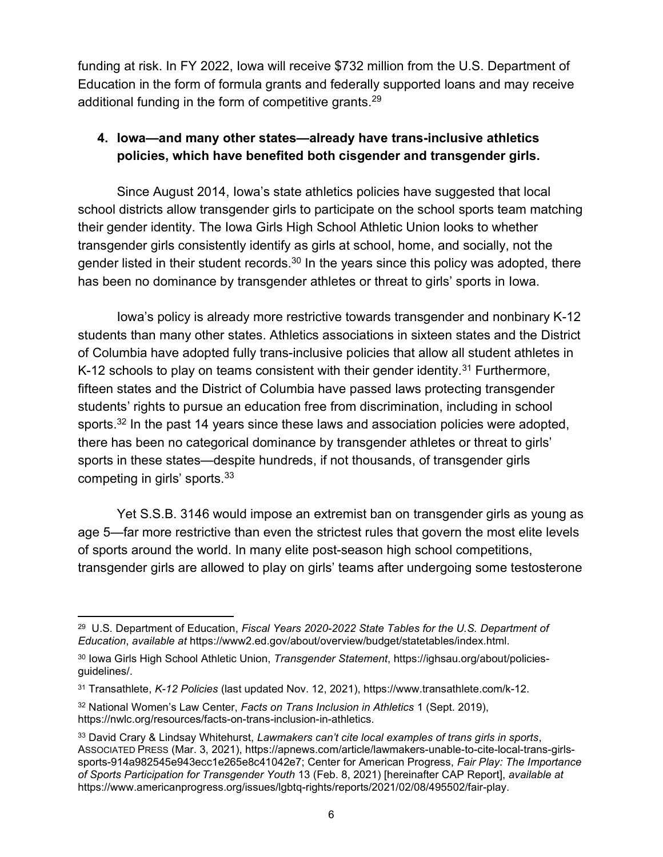funding at risk. In FY 2022, Iowa will receive \$732 million from the U.S. Department of Education in the form of formula grants and federally supported loans and may receive additional funding in the form of competitive grants.<sup>29</sup>

## 4. Iowa—and many other states—already have trans-inclusive athletics policies, which have benefited both cisgender and transgender girls.

Since August 2014, Iowa's state athletics policies have suggested that local school districts allow transgender girls to participate on the school sports team matching their gender identity. The Iowa Girls High School Athletic Union looks to whether transgender girls consistently identify as girls at school, home, and socially, not the gender listed in their student records. $30$  In the years since this policy was adopted, there has been no dominance by transgender athletes or threat to girls' sports in Iowa.

Iowa's policy is already more restrictive towards transgender and nonbinary K-12 students than many other states. Athletics associations in sixteen states and the District of Columbia have adopted fully trans-inclusive policies that allow all student athletes in K-12 schools to play on teams consistent with their gender identity.<sup>31</sup> Furthermore, fifteen states and the District of Columbia have passed laws protecting transgender students' rights to pursue an education free from discrimination, including in school sports.<sup>32</sup> In the past 14 years since these laws and association policies were adopted, there has been no categorical dominance by transgender athletes or threat to girls' sports in these states—despite hundreds, if not thousands, of transgender girls competing in girls' sports.<sup>33</sup>

Yet S.S.B. 3146 would impose an extremist ban on transgender girls as young as age 5—far more restrictive than even the strictest rules that govern the most elite levels of sports around the world. In many elite post-season high school competitions, transgender girls are allowed to play on girls' teams after undergoing some testosterone

<sup>&</sup>lt;sup>29</sup> U.S. Department of Education, Fiscal Years 2020-2022 State Tables for the U.S. Department of Education, available at https://www2.ed.gov/about/overview/budget/statetables/index.html.

<sup>&</sup>lt;sup>30</sup> Iowa Girls High School Athletic Union, Transgender Statement, https://ighsau.org/about/policiesguidelines/.

<sup>31</sup> Transathlete, K-12 Policies (last updated Nov. 12, 2021), https://www.transathlete.com/k-12.

<sup>&</sup>lt;sup>32</sup> National Women's Law Center, Facts on Trans Inclusion in Athletics 1 (Sept. 2019), https://nwlc.org/resources/facts-on-trans-inclusion-in-athletics.

<sup>33</sup> David Crary & Lindsay Whitehurst, Lawmakers can't cite local examples of trans girls in sports, ASSOCIATED PRESS (Mar. 3, 2021), https://apnews.com/article/lawmakers-unable-to-cite-local-trans-girlssports-914a982545e943ecc1e265e8c41042e7; Center for American Progress, Fair Play: The Importance of Sports Participation for Transgender Youth 13 (Feb. 8, 2021) [hereinafter CAP Report], available at https://www.americanprogress.org/issues/lgbtq-rights/reports/2021/02/08/495502/fair-play.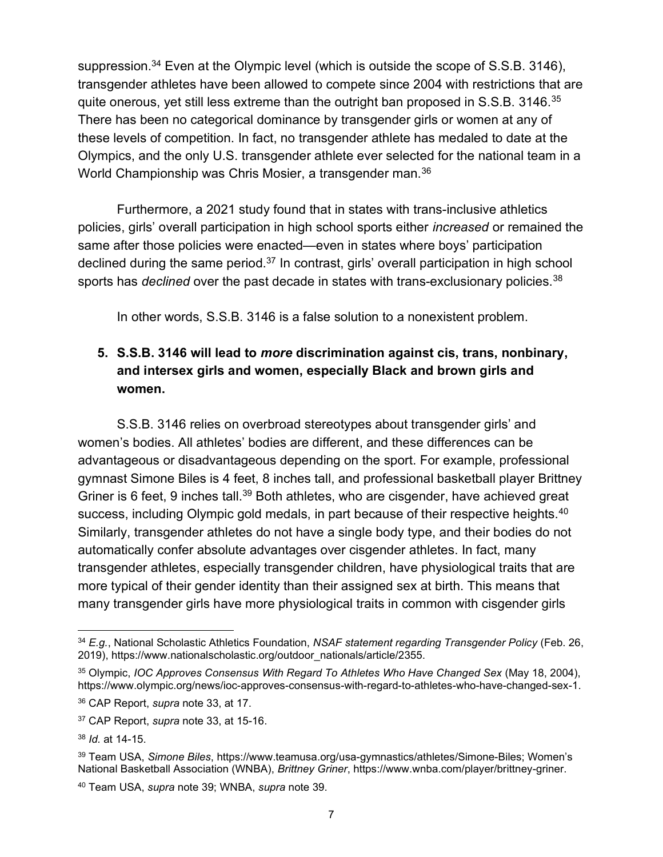suppression.<sup>34</sup> Even at the Olympic level (which is outside the scope of S.S.B. 3146), transgender athletes have been allowed to compete since 2004 with restrictions that are quite onerous, yet still less extreme than the outright ban proposed in S.S.B. 3146.<sup>35</sup> There has been no categorical dominance by transgender girls or women at any of these levels of competition. In fact, no transgender athlete has medaled to date at the Olympics, and the only U.S. transgender athlete ever selected for the national team in a World Championship was Chris Mosier, a transgender man.<sup>36</sup>

Furthermore, a 2021 study found that in states with trans-inclusive athletics policies, girls' overall participation in high school sports either increased or remained the same after those policies were enacted—even in states where boys' participation declined during the same period.<sup>37</sup> In contrast, girls' overall participation in high school sports has *declined* over the past decade in states with trans-exclusionary policies.<sup>38</sup>

In other words, S.S.B. 3146 is a false solution to a nonexistent problem.

## 5. S.S.B. 3146 will lead to more discrimination against cis, trans, nonbinary, and intersex girls and women, especially Black and brown girls and women.

S.S.B. 3146 relies on overbroad stereotypes about transgender girls' and women's bodies. All athletes' bodies are different, and these differences can be advantageous or disadvantageous depending on the sport. For example, professional gymnast Simone Biles is 4 feet, 8 inches tall, and professional basketball player Brittney Griner is 6 feet, 9 inches tall.<sup>39</sup> Both athletes, who are cisgender, have achieved great success, including Olympic gold medals, in part because of their respective heights.<sup>40</sup> Similarly, transgender athletes do not have a single body type, and their bodies do not automatically confer absolute advantages over cisgender athletes. In fact, many transgender athletes, especially transgender children, have physiological traits that are more typical of their gender identity than their assigned sex at birth. This means that many transgender girls have more physiological traits in common with cisgender girls

 $34$  E.g., National Scholastic Athletics Foundation, NSAF statement regarding Transgender Policy (Feb. 26, 2019), https://www.nationalscholastic.org/outdoor\_nationals/article/2355.

<sup>35</sup> Olympic, IOC Approves Consensus With Regard To Athletes Who Have Changed Sex (May 18, 2004), https://www.olympic.org/news/ioc-approves-consensus-with-regard-to-athletes-who-have-changed-sex-1.

<sup>36</sup> CAP Report, *supra* note 33, at 17.

<sup>37</sup> CAP Report, supra note 33, at 15-16.

<sup>38</sup> Id. at 14-15.

<sup>39</sup> Team USA, Simone Biles, https://www.teamusa.org/usa-gymnastics/athletes/Simone-Biles; Women's National Basketball Association (WNBA), Brittney Griner, https://www.wnba.com/player/brittney-griner.

<sup>40</sup> Team USA, supra note 39; WNBA, supra note 39.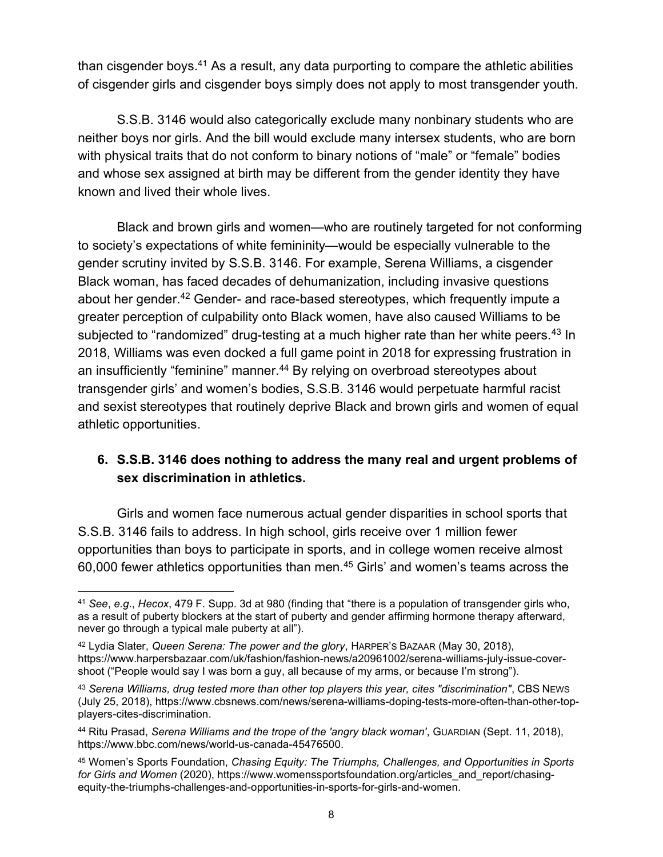than cisgender boys.<sup>41</sup> As a result, any data purporting to compare the athletic abilities of cisgender girls and cisgender boys simply does not apply to most transgender youth.

S.S.B. 3146 would also categorically exclude many nonbinary students who are neither boys nor girls. And the bill would exclude many intersex students, who are born with physical traits that do not conform to binary notions of "male" or "female" bodies and whose sex assigned at birth may be different from the gender identity they have known and lived their whole lives.

Black and brown girls and women—who are routinely targeted for not conforming to society's expectations of white femininity—would be especially vulnerable to the gender scrutiny invited by S.S.B. 3146. For example, Serena Williams, a cisgender Black woman, has faced decades of dehumanization, including invasive questions about her gender.<sup>42</sup> Gender- and race-based stereotypes, which frequently impute a greater perception of culpability onto Black women, have also caused Williams to be subjected to "randomized" drug-testing at a much higher rate than her white peers.<sup>43</sup> In 2018, Williams was even docked a full game point in 2018 for expressing frustration in an insufficiently "feminine" manner.<sup>44</sup> By relying on overbroad stereotypes about transgender girls' and women's bodies, S.S.B. 3146 would perpetuate harmful racist and sexist stereotypes that routinely deprive Black and brown girls and women of equal athletic opportunities.

## 6. S.S.B. 3146 does nothing to address the many real and urgent problems of sex discrimination in athletics.

Girls and women face numerous actual gender disparities in school sports that S.S.B. 3146 fails to address. In high school, girls receive over 1 million fewer opportunities than boys to participate in sports, and in college women receive almost 60,000 fewer athletics opportunities than men.<sup>45</sup> Girls' and women's teams across the

<sup>41</sup> See, e.g., Hecox, 479 F. Supp. 3d at 980 (finding that "there is a population of transgender girls who, as a result of puberty blockers at the start of puberty and gender affirming hormone therapy afterward, never go through a typical male puberty at all").

<sup>42</sup> Lydia Slater, Queen Serena: The power and the glory, HARPER's BAZAAR (May 30, 2018), https://www.harpersbazaar.com/uk/fashion/fashion-news/a20961002/serena-williams-july-issue-covershoot ("People would say I was born a guy, all because of my arms, or because I'm strong").

<sup>43</sup> Serena Williams, drug tested more than other top players this year, cites "discrimination", CBS NEws (July 25, 2018), https://www.cbsnews.com/news/serena-williams-doping-tests-more-often-than-other-topplayers-cites-discrimination.

<sup>44</sup> Ritu Prasad, Serena Williams and the trope of the 'angry black woman', GUARDIAN (Sept. 11, 2018), https://www.bbc.com/news/world-us-canada-45476500.

<sup>45</sup> Women's Sports Foundation, Chasing Equity: The Triumphs, Challenges, and Opportunities in Sports for Girls and Women (2020), https://www.womenssportsfoundation.org/articles\_and\_report/chasingequity-the-triumphs-challenges-and-opportunities-in-sports-for-girls-and-women.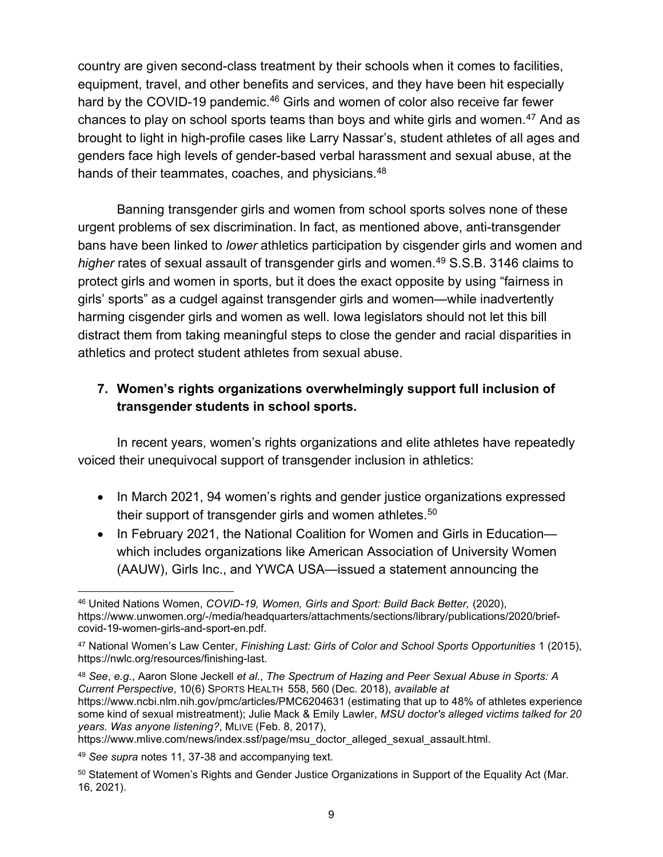country are given second-class treatment by their schools when it comes to facilities, equipment, travel, and other benefits and services, and they have been hit especially hard by the COVID-19 pandemic.<sup>46</sup> Girls and women of color also receive far fewer chances to play on school sports teams than boys and white girls and women.<sup>47</sup> And as brought to light in high-profile cases like Larry Nassar's, student athletes of all ages and genders face high levels of gender-based verbal harassment and sexual abuse, at the hands of their teammates, coaches, and physicians.<sup>48</sup>

Banning transgender girls and women from school sports solves none of these urgent problems of sex discrimination. In fact, as mentioned above, anti-transgender bans have been linked to lower athletics participation by cisgender girls and women and higher rates of sexual assault of transgender girls and women.<sup>49</sup> S.S.B. 3146 claims to protect girls and women in sports, but it does the exact opposite by using "fairness in girls' sports" as a cudgel against transgender girls and women—while inadvertently harming cisgender girls and women as well. Iowa legislators should not let this bill distract them from taking meaningful steps to close the gender and racial disparities in athletics and protect student athletes from sexual abuse.

# 7. Women's rights organizations overwhelmingly support full inclusion of transgender students in school sports.

In recent years, women's rights organizations and elite athletes have repeatedly voiced their unequivocal support of transgender inclusion in athletics:

- In March 2021, 94 women's rights and gender justice organizations expressed their support of transgender girls and women athletes.<sup>50</sup>
- In February 2021, the National Coalition for Women and Girls in Education which includes organizations like American Association of University Women (AAUW), Girls Inc., and YWCA USA—issued a statement announcing the

48 See, e.g., Aaron Slone Jeckell et al., The Spectrum of Hazing and Peer Sexual Abuse in Sports: A Current Perspective, 10(6) SPORTS HEALTH 558, 560 (Dec. 2018), available at https://www.ncbi.nlm.nih.gov/pmc/articles/PMC6204631 (estimating that up to 48% of athletes experience some kind of sexual mistreatment); Julie Mack & Emily Lawler, MSU doctor's alleged victims talked for 20 years. Was anyone listening?, MLIVE (Feb. 8, 2017),

https://www.mlive.com/news/index.ssf/page/msu\_doctor\_alleged\_sexual\_assault.html.

<sup>46</sup> United Nations Women, COVID-19, Women, Girls and Sport: Build Back Better, (2020), https://www.unwomen.org/-/media/headquarters/attachments/sections/library/publications/2020/briefcovid-19-women-girls-and-sport-en.pdf.

<sup>47</sup> National Women's Law Center, Finishing Last: Girls of Color and School Sports Opportunities 1 (2015), https://nwlc.org/resources/finishing-last.

<sup>49</sup> See supra notes 11, 37-38 and accompanying text.

<sup>&</sup>lt;sup>50</sup> Statement of Women's Rights and Gender Justice Organizations in Support of the Equality Act (Mar. 16, 2021).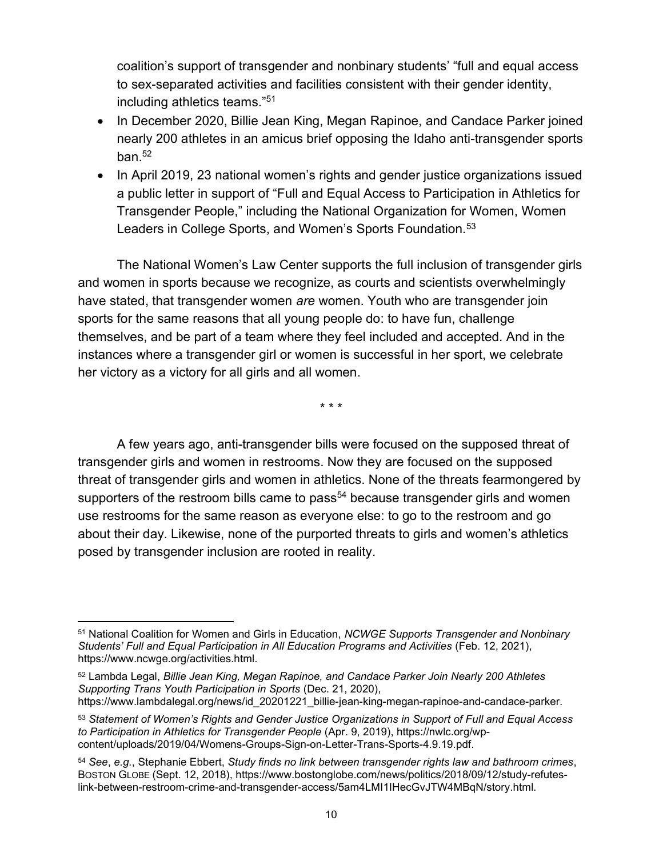coalition's support of transgender and nonbinary students' "full and equal access to sex-separated activities and facilities consistent with their gender identity, including athletics teams."<sup>51</sup>

- In December 2020, Billie Jean King, Megan Rapinoe, and Candace Parker joined nearly 200 athletes in an amicus brief opposing the Idaho anti-transgender sports ban. $52$
- In April 2019, 23 national women's rights and gender justice organizations issued a public letter in support of "Full and Equal Access to Participation in Athletics for Transgender People," including the National Organization for Women, Women Leaders in College Sports, and Women's Sports Foundation. $53$

The National Women's Law Center supports the full inclusion of transgender girls and women in sports because we recognize, as courts and scientists overwhelmingly have stated, that transgender women are women. Youth who are transgender join sports for the same reasons that all young people do: to have fun, challenge themselves, and be part of a team where they feel included and accepted. And in the instances where a transgender girl or women is successful in her sport, we celebrate her victory as a victory for all girls and all women.

\* \* \*

A few years ago, anti-transgender bills were focused on the supposed threat of transgender girls and women in restrooms. Now they are focused on the supposed threat of transgender girls and women in athletics. None of the threats fearmongered by supporters of the restroom bills came to pass<sup>54</sup> because transgender girls and women use restrooms for the same reason as everyone else: to go to the restroom and go about their day. Likewise, none of the purported threats to girls and women's athletics posed by transgender inclusion are rooted in reality.

https://www.lambdalegal.org/news/id\_20201221\_billie-jean-king-megan-rapinoe-and-candace-parker.

<sup>&</sup>lt;sup>51</sup> National Coalition for Women and Girls in Education, NCWGE Supports Transgender and Nonbinary Students' Full and Equal Participation in All Education Programs and Activities (Feb. 12, 2021), https://www.ncwge.org/activities.html.

<sup>52</sup> Lambda Legal, Billie Jean King, Megan Rapinoe, and Candace Parker Join Nearly 200 Athletes Supporting Trans Youth Participation in Sports (Dec. 21, 2020),

<sup>53</sup> Statement of Women's Rights and Gender Justice Organizations in Support of Full and Equal Access to Participation in Athletics for Transgender People (Apr. 9, 2019), https://nwlc.org/wpcontent/uploads/2019/04/Womens-Groups-Sign-on-Letter-Trans-Sports-4.9.19.pdf.

 $54$  See, e.g., Stephanie Ebbert, Study finds no link between transgender rights law and bathroom crimes, BOSTON GLOBE (Sept. 12, 2018), https://www.bostonglobe.com/news/politics/2018/09/12/study-refuteslink-between-restroom-crime-and-transgender-access/5am4LMI1IHecGvJTW4MBqN/story.html.